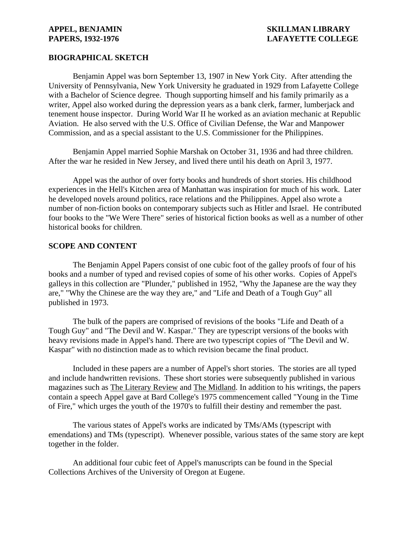### **APPEL, BENJAMIN SKILLMAN LIBRARY PAPERS, 1932-1976** LAFAYETTE COLLEGE

### **BIOGRAPHICAL SKETCH**

Benjamin Appel was born September 13, 1907 in New York City. After attending the University of Pennsylvania, New York University he graduated in 1929 from Lafayette College with a Bachelor of Science degree. Though supporting himself and his family primarily as a writer, Appel also worked during the depression years as a bank clerk, farmer, lumberjack and tenement house inspector. During World War II he worked as an aviation mechanic at Republic Aviation. He also served with the U.S. Office of Civilian Defense, the War and Manpower Commission, and as a special assistant to the U.S. Commissioner for the Philippines.

Benjamin Appel married Sophie Marshak on October 31, 1936 and had three children. After the war he resided in New Jersey, and lived there until his death on April 3, 1977.

Appel was the author of over forty books and hundreds of short stories. His childhood experiences in the Hell's Kitchen area of Manhattan was inspiration for much of his work. Later he developed novels around politics, race relations and the Philippines. Appel also wrote a number of non-fiction books on contemporary subjects such as Hitler and Israel. He contributed four books to the "We Were There" series of historical fiction books as well as a number of other historical books for children.

### **SCOPE AND CONTENT**

The Benjamin Appel Papers consist of one cubic foot of the galley proofs of four of his books and a number of typed and revised copies of some of his other works. Copies of Appel's galleys in this collection are "Plunder," published in 1952, "Why the Japanese are the way they are," "Why the Chinese are the way they are," and "Life and Death of a Tough Guy" all published in 1973.

The bulk of the papers are comprised of revisions of the books "Life and Death of a Tough Guy" and "The Devil and W. Kaspar." They are typescript versions of the books with heavy revisions made in Appel's hand. There are two typescript copies of "The Devil and W. Kaspar" with no distinction made as to which revision became the final product.

Included in these papers are a number of Appel's short stories. The stories are all typed and include handwritten revisions. These short stories were subsequently published in various magazines such as The Literary Review and The Midland. In addition to his writings, the papers contain a speech Appel gave at Bard College's 1975 commencement called "Young in the Time of Fire," which urges the youth of the 1970's to fulfill their destiny and remember the past.

The various states of Appel's works are indicated by TMs/AMs (typescript with emendations) and TMs (typescript). Whenever possible, various states of the same story are kept together in the folder.

An additional four cubic feet of Appel's manuscripts can be found in the Special Collections Archives of the University of Oregon at Eugene.